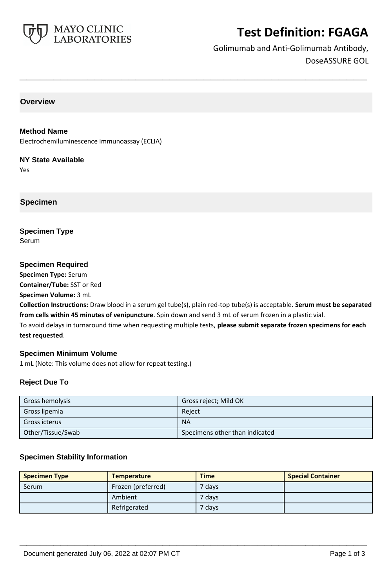

# **Test Definition: FGAGA**

Golimumab and Anti-Golimumab Antibody, DoseASSURE GOL

## **Overview**

## **Method Name**

Electrochemiluminescence immunoassay (ECLIA)

#### **NY State Available**

Yes

## **Specimen**

**Specimen Type** Serum

## **Specimen Required**

**Specimen Type:** Serum **Container/Tube:** SST or Red

**Specimen Volume:** 3 mL

**Collection Instructions:** Draw blood in a serum gel tube(s), plain red-top tube(s) is acceptable. **Serum must be separated from cells within 45 minutes of venipuncture**. Spin down and send 3 mL of serum frozen in a plastic vial. To avoid delays in turnaround time when requesting multiple tests, **please submit separate frozen specimens for each** 

**\_\_\_\_\_\_\_\_\_\_\_\_\_\_\_\_\_\_\_\_\_\_\_\_\_\_\_\_\_\_\_\_\_\_\_\_\_\_\_\_\_\_\_\_\_\_\_\_\_\_\_**

**test requested**.

## **Specimen Minimum Volume**

1 mL (Note: This volume does not allow for repeat testing.)

## **Reject Due To**

| Gross hemolysis   | Gross reject; Mild OK          |
|-------------------|--------------------------------|
| Gross lipemia     | Reiect                         |
| Gross icterus     | <b>NA</b>                      |
| Other/Tissue/Swab | Specimens other than indicated |

## **Specimen Stability Information**

| <b>Specimen Type</b> | <b>Temperature</b> | <b>Time</b>       | <b>Special Container</b> |
|----------------------|--------------------|-------------------|--------------------------|
| Serum                | Frozen (preferred) | <sup>7</sup> days |                          |
|                      | Ambient            | 7 days            |                          |
|                      | Refrigerated       | ' days            |                          |

**\_\_\_\_\_\_\_\_\_\_\_\_\_\_\_\_\_\_\_\_\_\_\_\_\_\_\_\_\_\_\_\_\_\_\_\_\_\_\_\_\_\_\_\_\_\_\_\_\_\_\_**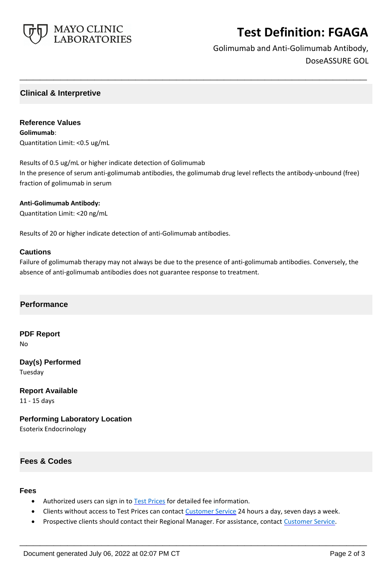

# **Test Definition: FGAGA**

Golimumab and Anti-Golimumab Antibody, DoseASSURE GOL

## **Clinical & Interpretive**

**Reference Values Golimumab**: Quantitation Limit: <0.5 ug/mL

Results of 0.5 ug/mL or higher indicate detection of Golimumab In the presence of serum anti-golimumab antibodies, the golimumab drug level reflects the antibody-unbound (free) fraction of golimumab in serum

**\_\_\_\_\_\_\_\_\_\_\_\_\_\_\_\_\_\_\_\_\_\_\_\_\_\_\_\_\_\_\_\_\_\_\_\_\_\_\_\_\_\_\_\_\_\_\_\_\_\_\_**

#### **Anti-Golimumab Antibody:**

Quantitation Limit: <20 ng/mL

Results of 20 or higher indicate detection of anti-Golimumab antibodies.

#### **Cautions**

Failure of golimumab therapy may not always be due to the presence of anti-golimumab antibodies. Conversely, the absence of anti-golimumab antibodies does not guarantee response to treatment.

## **Performance**

**PDF Report** No

**Day(s) Performed**

Tuesday

**Report Available** 11 - 15 days

**Performing Laboratory Location**

Esoterix Endocrinology

## **Fees & Codes**

### **Fees**

- Authorized users can sign in to [Test Prices](https://www.mayocliniclabs.com/customer-service/client-price-lookup/index.html?unit_code=FGAGA) for detailed fee information.
- Clients without access to Test Prices can contact [Customer Service](http://www.mayocliniclabs.com/customer-service/contacts.html) 24 hours a day, seven days a week.
- Prospective clients should contact their Regional Manager. For assistance, contact [Customer Service.](http://www.mayocliniclabs.com/customer-service/contacts.html)

**\_\_\_\_\_\_\_\_\_\_\_\_\_\_\_\_\_\_\_\_\_\_\_\_\_\_\_\_\_\_\_\_\_\_\_\_\_\_\_\_\_\_\_\_\_\_\_\_\_\_\_**